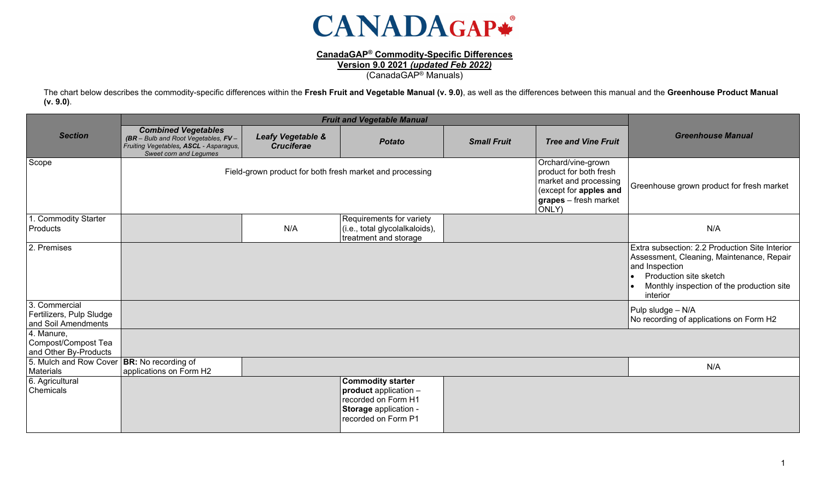

## **CanadaGAP® Commodity-Specific Differences**

**Version 9.0 2021** *(updated Feb 2022)*

(CanadaGAP® Manuals)

The chart below describes the commodity-specific differences within the **Fresh Fruit and Vegetable Manual (v. 9.0)**, as well as the differences between this manual and the **Greenhouse Product Manual (v. 9.0)**.

|                                                                  | <b>Fruit and Vegetable Manual</b>                                                                                                          |                                        |                                                                                                                          |                    |                                                                                                                                          |                                                                                                                                                                                                  |
|------------------------------------------------------------------|--------------------------------------------------------------------------------------------------------------------------------------------|----------------------------------------|--------------------------------------------------------------------------------------------------------------------------|--------------------|------------------------------------------------------------------------------------------------------------------------------------------|--------------------------------------------------------------------------------------------------------------------------------------------------------------------------------------------------|
| <b>Section</b>                                                   | <b>Combined Vegetables</b><br>$(BR - Bulb$ and Root Vegetables, $FV -$<br>Fruiting Vegetables, ASCL - Asparagus,<br>Sweet corn and Legumes | Leafy Vegetable &<br><b>Cruciferae</b> | <b>Potato</b>                                                                                                            | <b>Small Fruit</b> | <b>Tree and Vine Fruit</b>                                                                                                               | <b>Greenhouse Manual</b>                                                                                                                                                                         |
| Scope                                                            |                                                                                                                                            |                                        | Field-grown product for both fresh market and processing                                                                 |                    | Orchard/vine-grown<br>product for both fresh<br>market and processing<br>(except for apples and<br><b>grapes</b> – fresh market<br>ONLY) | Greenhouse grown product for fresh market                                                                                                                                                        |
| . Commodity Starter<br>Products                                  |                                                                                                                                            | N/A                                    | Requirements for variety<br>(i.e., total glycolalkaloids),<br>treatment and storage                                      |                    |                                                                                                                                          | N/A                                                                                                                                                                                              |
| 2. Premises                                                      |                                                                                                                                            |                                        |                                                                                                                          |                    |                                                                                                                                          | Extra subsection: 2.2 Production Site Interior<br>Assessment, Cleaning, Maintenance, Repair<br>and Inspection<br>Production site sketch<br>Monthly inspection of the production site<br>interior |
| 3. Commercial<br>Fertilizers, Pulp Sludge<br>and Soil Amendments |                                                                                                                                            |                                        |                                                                                                                          |                    |                                                                                                                                          | Pulp sludge - N/A<br>No recording of applications on Form H2                                                                                                                                     |
| 4. Manure,<br>Compost/Compost Tea<br>and Other By-Products       |                                                                                                                                            |                                        |                                                                                                                          |                    |                                                                                                                                          |                                                                                                                                                                                                  |
| 5. Mulch and Row Cover<br>Materials                              | <b>BR:</b> No recording of<br>applications on Form H2                                                                                      |                                        |                                                                                                                          |                    |                                                                                                                                          | N/A                                                                                                                                                                                              |
| 6. Agricultural<br>Chemicals                                     |                                                                                                                                            |                                        | <b>Commodity starter</b><br>product application -<br>recorded on Form H1<br>Storage application -<br>recorded on Form P1 |                    |                                                                                                                                          |                                                                                                                                                                                                  |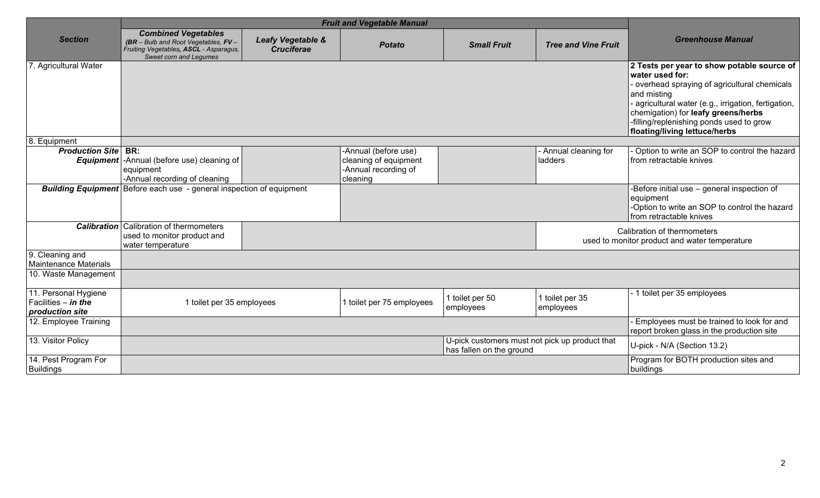| <b>Section</b>                                                   | <b>Combined Vegetables</b><br>$(BR - Bulb$ and Root Vegetables, $FV -$<br>Fruiting Vegetables, ASCL - Asparagus,<br>Sweet corn and Legumes | Leafy Vegetable &<br><b>Cruciferae</b> | <b>Potato</b>                                                                     | <b>Small Fruit</b>           | <b>Tree and Vine Fruit</b>                     | <b>Greenhouse Manual</b>                                                                                                                                                                                                                                                                                |
|------------------------------------------------------------------|--------------------------------------------------------------------------------------------------------------------------------------------|----------------------------------------|-----------------------------------------------------------------------------------|------------------------------|------------------------------------------------|---------------------------------------------------------------------------------------------------------------------------------------------------------------------------------------------------------------------------------------------------------------------------------------------------------|
| 7. Agricultural Water                                            |                                                                                                                                            |                                        |                                                                                   |                              |                                                | 2 Tests per year to show potable source of<br>water used for:<br>- overhead spraying of agricultural chemicals<br>and misting<br>agricultural water (e.g., irrigation, fertigation,<br>chemigation) for leafy greens/herbs<br>-filling/replenishing ponds used to grow<br>floating/living lettuce/herbs |
| 8. Equipment                                                     |                                                                                                                                            |                                        |                                                                                   |                              |                                                |                                                                                                                                                                                                                                                                                                         |
| <b>Production Site</b>                                           | BR:<br><b>Equipment</b> - Annual (before use) cleaning of<br>equipment<br>-Annual recording of cleaning                                    |                                        | -Annual (before use)<br>cleaning of equipment<br>-Annual recording of<br>cleaning |                              | - Annual cleaning for<br>ladders               | Option to write an SOP to control the hazard<br>from retractable knives                                                                                                                                                                                                                                 |
|                                                                  | <b>Building Equipment</b> Before each use - general inspection of equipment                                                                |                                        |                                                                                   |                              |                                                | -Before initial use - general inspection of<br>equipment<br>-Option to write an SOP to control the hazard<br>from retractable knives                                                                                                                                                                    |
| <b>Calibration</b>                                               | Calibration of thermometers<br>used to monitor product and<br>water temperature                                                            |                                        |                                                                                   |                              |                                                | Calibration of thermometers<br>used to monitor product and water temperature                                                                                                                                                                                                                            |
| 9. Cleaning and<br><b>Maintenance Materials</b>                  |                                                                                                                                            |                                        |                                                                                   |                              |                                                |                                                                                                                                                                                                                                                                                                         |
| 10. Waste Management                                             |                                                                                                                                            |                                        |                                                                                   |                              |                                                |                                                                                                                                                                                                                                                                                                         |
| 11. Personal Hygiene<br>Facilities $-$ in the<br>production site | 1 toilet per 35 employees                                                                                                                  |                                        | 1 toilet per 75 employees                                                         | 1 toilet per 50<br>employees | 1 toilet per 35<br>employees                   | - 1 toilet per 35 employees                                                                                                                                                                                                                                                                             |
| 12. Employee Training                                            |                                                                                                                                            |                                        |                                                                                   |                              |                                                | Employees must be trained to look for and<br>report broken glass in the production site                                                                                                                                                                                                                 |
| 13. Visitor Policy                                               |                                                                                                                                            |                                        |                                                                                   | has fallen on the ground     | U-pick customers must not pick up product that | U-pick - N/A (Section 13.2)                                                                                                                                                                                                                                                                             |
| 14. Pest Program For<br>Buildings                                |                                                                                                                                            |                                        |                                                                                   |                              |                                                | Program for BOTH production sites and<br>buildings                                                                                                                                                                                                                                                      |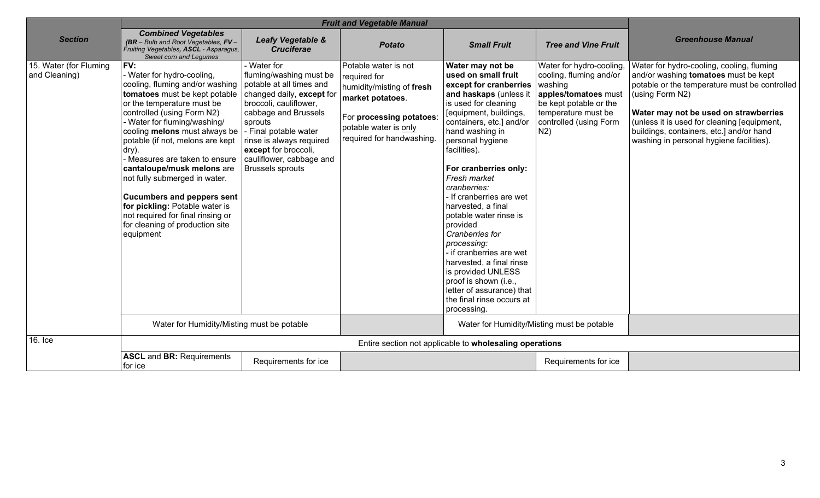| <b>Section</b>                          | <b>Combined Vegetables</b><br>$(BR - Bulb$ and Root Vegetables, $FV -$<br>Fruiting Vegetables, ASCL - Asparagus,<br>Sweet corn and Legumes                                                                                                                                                                                                                                                                                                                                                                                                                          | Leafy Vegetable &<br><b>Cruciferae</b>                                                                                                                                                                                                                           | <b>Potato</b>                                                                                                                                                           | <b>Small Fruit</b>                                                                                                                                                                                                                                                                                                                                                                                                                                                                                                                                                                                | <b>Tree and Vine Fruit</b>                                                                                                                                               | <b>Greenhouse Manual</b>                                                                                                                                                                                                                                                                                                                     |
|-----------------------------------------|---------------------------------------------------------------------------------------------------------------------------------------------------------------------------------------------------------------------------------------------------------------------------------------------------------------------------------------------------------------------------------------------------------------------------------------------------------------------------------------------------------------------------------------------------------------------|------------------------------------------------------------------------------------------------------------------------------------------------------------------------------------------------------------------------------------------------------------------|-------------------------------------------------------------------------------------------------------------------------------------------------------------------------|---------------------------------------------------------------------------------------------------------------------------------------------------------------------------------------------------------------------------------------------------------------------------------------------------------------------------------------------------------------------------------------------------------------------------------------------------------------------------------------------------------------------------------------------------------------------------------------------------|--------------------------------------------------------------------------------------------------------------------------------------------------------------------------|----------------------------------------------------------------------------------------------------------------------------------------------------------------------------------------------------------------------------------------------------------------------------------------------------------------------------------------------|
| 15. Water (for Fluming<br>and Cleaning) | FV:<br>Water for hydro-cooling,<br>cooling, fluming and/or washing   potable at all times and<br>tomatoes must be kept potable<br>or the temperature must be<br>controlled (using Form N2)<br>- Water for fluming/washing/<br>cooling melons must always be<br>potable (if not, melons are kept<br>dry).<br>Measures are taken to ensure<br>cantaloupe/musk melons are<br>not fully submerged in water.<br><b>Cucumbers and peppers sent</b><br>for pickling: Potable water is<br>not required for final rinsing or<br>for cleaning of production site<br>equipment | Water for<br>fluming/washing must be<br>changed daily, except for<br>broccoli, cauliflower,<br>cabbage and Brussels<br>sprouts<br>Final potable water<br>rinse is always required<br>except for broccoli,<br>cauliflower, cabbage and<br><b>Brussels sprouts</b> | Potable water is not<br>required for<br>humidity/misting of fresh<br>market potatoes.<br>For processing potatoes:<br>potable water is only<br>required for handwashing. | Water may not be<br>used on small fruit<br>except for cranberries<br>and haskaps (unless it<br>is used for cleaning<br>[equipment, buildings,<br>containers, etc.] and/or<br>hand washing in<br>personal hygiene<br>facilities).<br>For cranberries only:<br>Fresh market<br>cranberries:<br>If cranberries are wet<br>harvested, a final<br>potable water rinse is<br>provided<br>Cranberries for<br>processing:<br>- if cranberries are wet<br>harvested, a final rinse<br>is provided UNLESS<br>proof is shown (i.e.,<br>letter of assurance) that<br>the final rinse occurs at<br>processing. | Water for hydro-cooling,<br>cooling, fluming and/or<br>washing<br>apples/tomatoes must<br>be kept potable or the<br>temperature must be<br>controlled (using Form<br>N2) | Water for hydro-cooling, cooling, fluming<br>and/or washing <b>tomatoes</b> must be kept<br>potable or the temperature must be controlled<br>(using Form N2)<br>Water may not be used on strawberries<br>(unless it is used for cleaning [equipment,<br>buildings, containers, etc.] and/or hand<br>washing in personal hygiene facilities). |
|                                         | Water for Humidity/Misting must be potable                                                                                                                                                                                                                                                                                                                                                                                                                                                                                                                          |                                                                                                                                                                                                                                                                  |                                                                                                                                                                         |                                                                                                                                                                                                                                                                                                                                                                                                                                                                                                                                                                                                   | Water for Humidity/Misting must be potable                                                                                                                               |                                                                                                                                                                                                                                                                                                                                              |
| 16. Ice                                 | Entire section not applicable to wholesaling operations                                                                                                                                                                                                                                                                                                                                                                                                                                                                                                             |                                                                                                                                                                                                                                                                  |                                                                                                                                                                         |                                                                                                                                                                                                                                                                                                                                                                                                                                                                                                                                                                                                   |                                                                                                                                                                          |                                                                                                                                                                                                                                                                                                                                              |
|                                         | <b>ASCL and BR: Requirements</b><br>for ice                                                                                                                                                                                                                                                                                                                                                                                                                                                                                                                         | Requirements for ice                                                                                                                                                                                                                                             |                                                                                                                                                                         |                                                                                                                                                                                                                                                                                                                                                                                                                                                                                                                                                                                                   | Requirements for ice                                                                                                                                                     |                                                                                                                                                                                                                                                                                                                                              |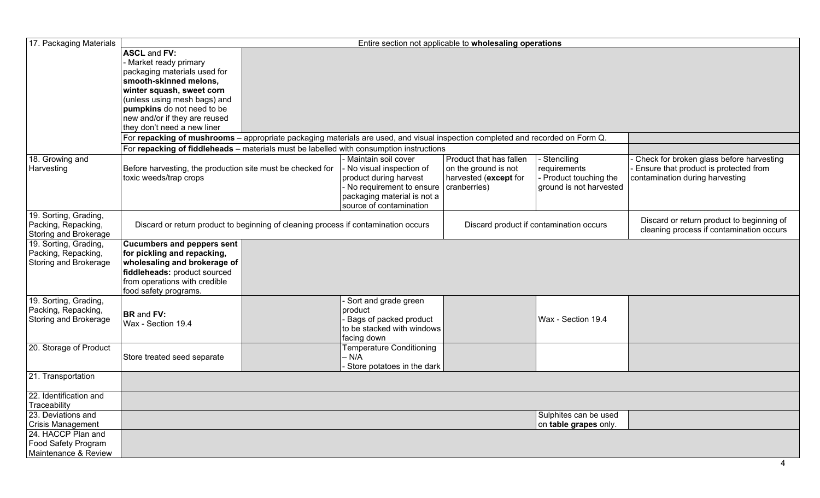| 17. Packaging Materials                                               | Entire section not applicable to wholesaling operations                                                                                                                                                                                                                                                                                                                                                                                                                                         |                                                                                                                                                                      |                                                                                          |                                                                                   |                                                                                                                      |  |
|-----------------------------------------------------------------------|-------------------------------------------------------------------------------------------------------------------------------------------------------------------------------------------------------------------------------------------------------------------------------------------------------------------------------------------------------------------------------------------------------------------------------------------------------------------------------------------------|----------------------------------------------------------------------------------------------------------------------------------------------------------------------|------------------------------------------------------------------------------------------|-----------------------------------------------------------------------------------|----------------------------------------------------------------------------------------------------------------------|--|
|                                                                       | <b>ASCL and FV:</b><br>- Market ready primary<br>packaging materials used for<br>smooth-skinned melons,<br>winter squash, sweet corn<br>(unless using mesh bags) and<br>pumpkins do not need to be<br>new and/or if they are reused<br>they don't need a new liner<br>For repacking of mushrooms – appropriate packaging materials are used, and visual inspection completed and recorded on Form Q.<br>For repacking of fiddleheads - materials must be labelled with consumption instructions |                                                                                                                                                                      |                                                                                          |                                                                                   |                                                                                                                      |  |
| 18. Growing and<br>Harvesting                                         | Before harvesting, the production site must be checked for<br>toxic weeds/trap crops                                                                                                                                                                                                                                                                                                                                                                                                            | - Maintain soil cover<br>- No visual inspection of<br>product during harvest<br>- No requirement to ensure<br>packaging material is not a<br>source of contamination | Product that has fallen<br>on the ground is not<br>harvested (except for<br>cranberries) | - Stenciling<br>requirements<br>- Product touching the<br>ground is not harvested | Check for broken glass before harvesting<br>Ensure that product is protected from<br>contamination during harvesting |  |
| 19. Sorting, Grading,<br>Packing, Repacking,<br>Storing and Brokerage | Discard or return product to beginning of cleaning process if contamination occurs                                                                                                                                                                                                                                                                                                                                                                                                              |                                                                                                                                                                      |                                                                                          | Discard product if contamination occurs                                           | Discard or return product to beginning of<br>cleaning process if contamination occurs                                |  |
| 19. Sorting, Grading,<br>Packing, Repacking,<br>Storing and Brokerage | <b>Cucumbers and peppers sent</b><br>for pickling and repacking,<br>wholesaling and brokerage of<br>fiddleheads: product sourced<br>from operations with credible<br>food safety programs.                                                                                                                                                                                                                                                                                                      |                                                                                                                                                                      |                                                                                          |                                                                                   |                                                                                                                      |  |
| 19. Sorting, Grading,<br>Packing, Repacking,<br>Storing and Brokerage | <b>BR</b> and <b>FV:</b><br>Wax - Section 19.4                                                                                                                                                                                                                                                                                                                                                                                                                                                  | Sort and grade green<br>product<br>Bags of packed product<br>to be stacked with windows<br>facing down                                                               |                                                                                          | Wax - Section 19.4                                                                |                                                                                                                      |  |
| 20. Storage of Product                                                | Store treated seed separate                                                                                                                                                                                                                                                                                                                                                                                                                                                                     | <b>Temperature Conditioning</b><br>$- N/A$<br>Store potatoes in the dark                                                                                             |                                                                                          |                                                                                   |                                                                                                                      |  |
| 21. Transportation                                                    |                                                                                                                                                                                                                                                                                                                                                                                                                                                                                                 |                                                                                                                                                                      |                                                                                          |                                                                                   |                                                                                                                      |  |
| 22. Identification and<br>Traceability                                |                                                                                                                                                                                                                                                                                                                                                                                                                                                                                                 |                                                                                                                                                                      |                                                                                          |                                                                                   |                                                                                                                      |  |
| 23. Deviations and<br><b>Crisis Management</b><br>24. HACCP Plan and  |                                                                                                                                                                                                                                                                                                                                                                                                                                                                                                 |                                                                                                                                                                      |                                                                                          | Sulphites can be used<br>on table grapes only.                                    |                                                                                                                      |  |
| Food Safety Program<br>Maintenance & Review                           |                                                                                                                                                                                                                                                                                                                                                                                                                                                                                                 |                                                                                                                                                                      |                                                                                          |                                                                                   |                                                                                                                      |  |